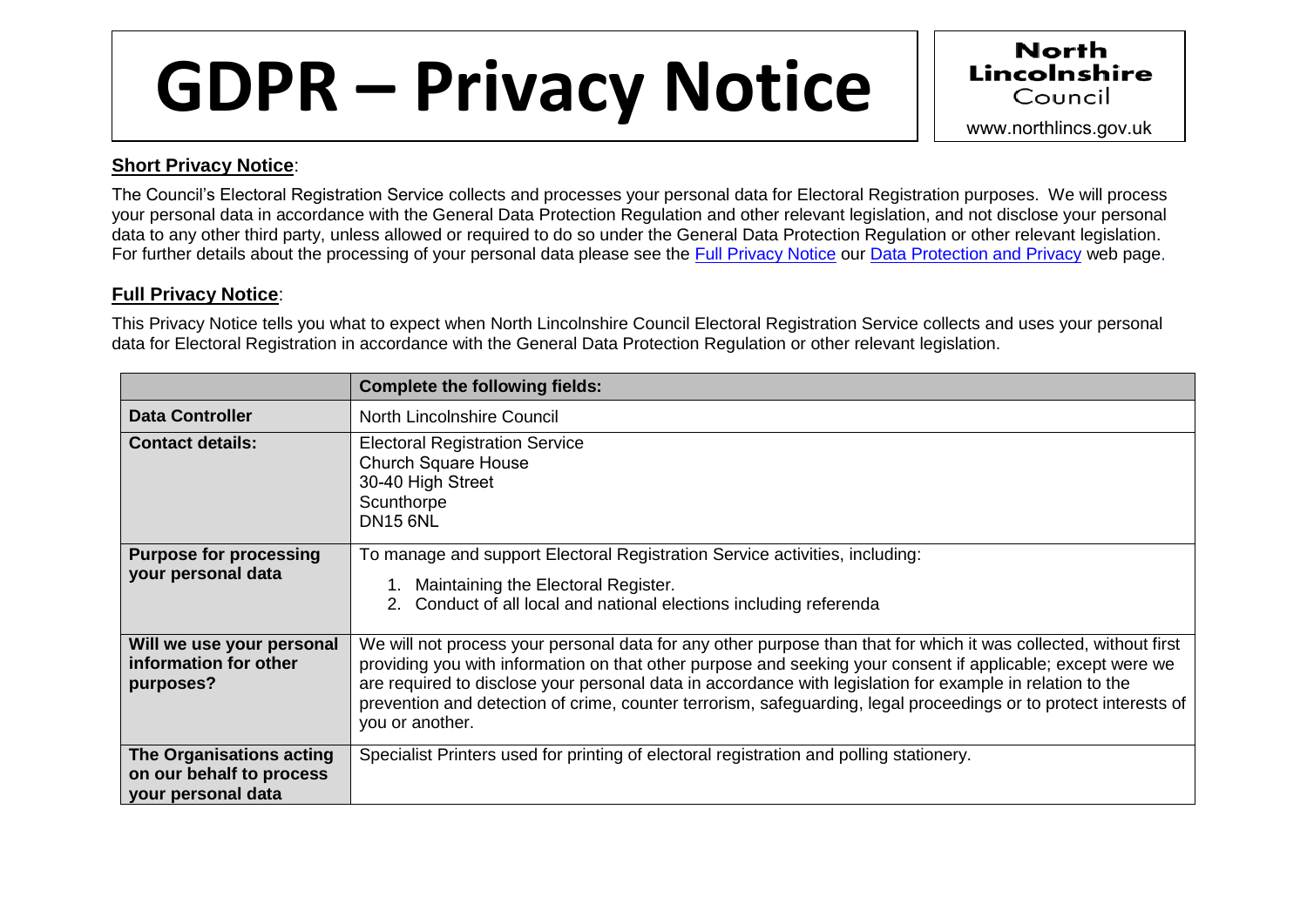## GDPR – Privacy Notice www.northlincs.gov.uk



## **Short Privacy Notice**:

The Council's Electoral Registration Service collects and processes your personal data for Electoral Registration purposes. We will process your personal data in accordance with the General Data Protection Regulation and other relevant legislation, and not disclose your personal data to any other third party, unless allowed or required to do so under the General Data Protection Regulation or other relevant legislation. For further details about the processing of your personal data please see the [Full Privacy Notice](http://www.northlincs.gov.uk/site/privacy/) our [Data Protection and Privacy](http://www.northlincs.gov.uk/your-council/information-and-performance/information-governance/dataprotection/) web page.

## **Full Privacy Notice**:

This Privacy Notice tells you what to expect when North Lincolnshire Council Electoral Registration Service collects and uses your personal data for Electoral Registration in accordance with the General Data Protection Regulation or other relevant legislation.

|                                                                                   | <b>Complete the following fields:</b>                                                                                                                                                                                                                                                                                                                                                                                                                                               |
|-----------------------------------------------------------------------------------|-------------------------------------------------------------------------------------------------------------------------------------------------------------------------------------------------------------------------------------------------------------------------------------------------------------------------------------------------------------------------------------------------------------------------------------------------------------------------------------|
| <b>Data Controller</b>                                                            | North Lincolnshire Council                                                                                                                                                                                                                                                                                                                                                                                                                                                          |
| <b>Contact details:</b>                                                           | <b>Electoral Registration Service</b><br><b>Church Square House</b><br>30-40 High Street<br>Scunthorpe<br><b>DN15 6NL</b>                                                                                                                                                                                                                                                                                                                                                           |
| <b>Purpose for processing</b><br>your personal data                               | To manage and support Electoral Registration Service activities, including:<br>Maintaining the Electoral Register.<br>2. Conduct of all local and national elections including referenda                                                                                                                                                                                                                                                                                            |
| Will we use your personal<br>information for other<br>purposes?                   | We will not process your personal data for any other purpose than that for which it was collected, without first<br>providing you with information on that other purpose and seeking your consent if applicable; except were we<br>are required to disclose your personal data in accordance with legislation for example in relation to the<br>prevention and detection of crime, counter terrorism, safeguarding, legal proceedings or to protect interests of<br>you or another. |
| <b>The Organisations acting</b><br>on our behalf to process<br>your personal data | Specialist Printers used for printing of electoral registration and polling stationery.                                                                                                                                                                                                                                                                                                                                                                                             |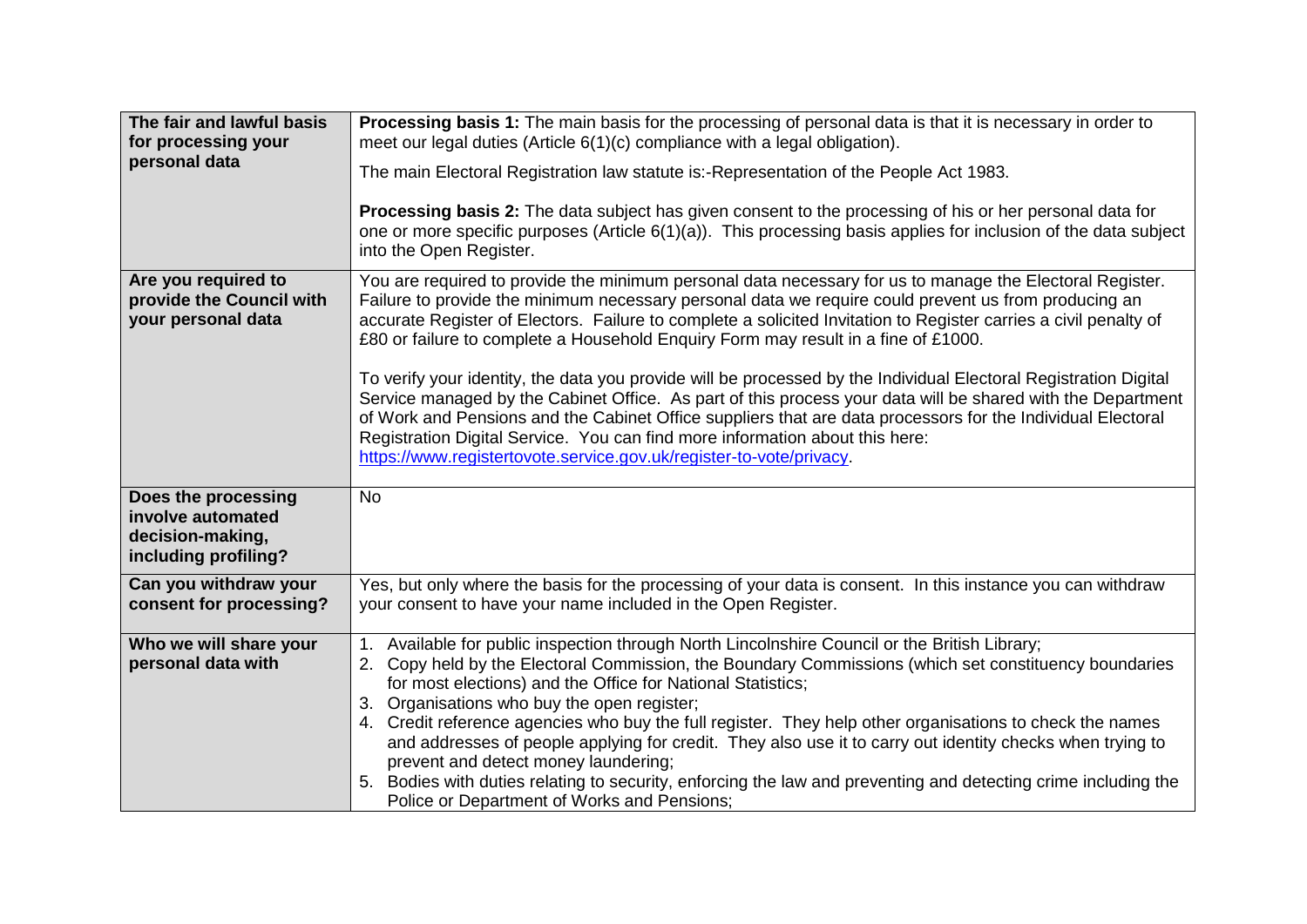| The fair and lawful basis<br>for processing your<br>personal data                    | Processing basis 1: The main basis for the processing of personal data is that it is necessary in order to<br>meet our legal duties (Article 6(1)(c) compliance with a legal obligation).<br>The main Electoral Registration law statute is:-Representation of the People Act 1983.<br>Processing basis 2: The data subject has given consent to the processing of his or her personal data for<br>one or more specific purposes (Article 6(1)(a)). This processing basis applies for inclusion of the data subject<br>into the Open Register.                                                                                                                                                                                                                                                                                                                                                                                      |
|--------------------------------------------------------------------------------------|-------------------------------------------------------------------------------------------------------------------------------------------------------------------------------------------------------------------------------------------------------------------------------------------------------------------------------------------------------------------------------------------------------------------------------------------------------------------------------------------------------------------------------------------------------------------------------------------------------------------------------------------------------------------------------------------------------------------------------------------------------------------------------------------------------------------------------------------------------------------------------------------------------------------------------------|
| Are you required to<br>provide the Council with<br>your personal data                | You are required to provide the minimum personal data necessary for us to manage the Electoral Register.<br>Failure to provide the minimum necessary personal data we require could prevent us from producing an<br>accurate Register of Electors. Failure to complete a solicited Invitation to Register carries a civil penalty of<br>£80 or failure to complete a Household Enquiry Form may result in a fine of £1000.<br>To verify your identity, the data you provide will be processed by the Individual Electoral Registration Digital<br>Service managed by the Cabinet Office. As part of this process your data will be shared with the Department<br>of Work and Pensions and the Cabinet Office suppliers that are data processors for the Individual Electoral<br>Registration Digital Service. You can find more information about this here:<br>https://www.registertovote.service.gov.uk/register-to-vote/privacy. |
| Does the processing<br>involve automated<br>decision-making,<br>including profiling? | <b>No</b>                                                                                                                                                                                                                                                                                                                                                                                                                                                                                                                                                                                                                                                                                                                                                                                                                                                                                                                           |
| Can you withdraw your<br>consent for processing?                                     | Yes, but only where the basis for the processing of your data is consent. In this instance you can withdraw<br>your consent to have your name included in the Open Register.                                                                                                                                                                                                                                                                                                                                                                                                                                                                                                                                                                                                                                                                                                                                                        |
| Who we will share your<br>personal data with                                         | 1. Available for public inspection through North Lincolnshire Council or the British Library;<br>2. Copy held by the Electoral Commission, the Boundary Commissions (which set constituency boundaries<br>for most elections) and the Office for National Statistics;<br>3. Organisations who buy the open register;<br>4. Credit reference agencies who buy the full register. They help other organisations to check the names<br>and addresses of people applying for credit. They also use it to carry out identity checks when trying to<br>prevent and detect money laundering;<br>5. Bodies with duties relating to security, enforcing the law and preventing and detecting crime including the<br>Police or Department of Works and Pensions;                                                                                                                                                                              |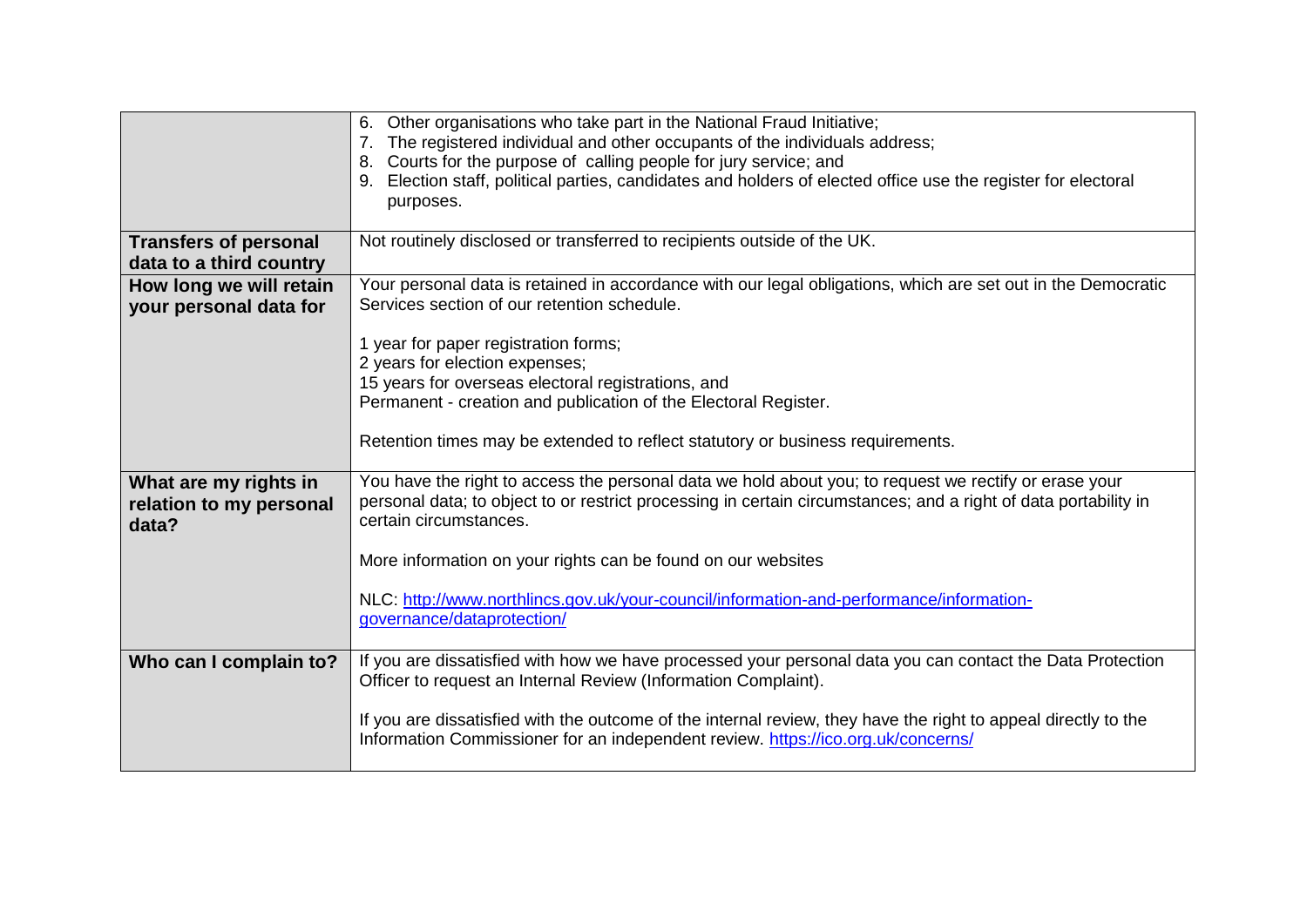|                                                           | 6. Other organisations who take part in the National Fraud Initiative;<br>7. The registered individual and other occupants of the individuals address;<br>8. Courts for the purpose of calling people for jury service; and<br>Election staff, political parties, candidates and holders of elected office use the register for electoral<br>9.<br>purposes. |
|-----------------------------------------------------------|--------------------------------------------------------------------------------------------------------------------------------------------------------------------------------------------------------------------------------------------------------------------------------------------------------------------------------------------------------------|
|                                                           |                                                                                                                                                                                                                                                                                                                                                              |
| <b>Transfers of personal</b><br>data to a third country   | Not routinely disclosed or transferred to recipients outside of the UK.                                                                                                                                                                                                                                                                                      |
| How long we will retain<br>your personal data for         | Your personal data is retained in accordance with our legal obligations, which are set out in the Democratic<br>Services section of our retention schedule.                                                                                                                                                                                                  |
|                                                           | 1 year for paper registration forms;<br>2 years for election expenses;                                                                                                                                                                                                                                                                                       |
|                                                           | 15 years for overseas electoral registrations, and<br>Permanent - creation and publication of the Electoral Register.                                                                                                                                                                                                                                        |
|                                                           | Retention times may be extended to reflect statutory or business requirements.                                                                                                                                                                                                                                                                               |
| What are my rights in<br>relation to my personal<br>data? | You have the right to access the personal data we hold about you; to request we rectify or erase your<br>personal data; to object to or restrict processing in certain circumstances; and a right of data portability in<br>certain circumstances.                                                                                                           |
|                                                           | More information on your rights can be found on our websites                                                                                                                                                                                                                                                                                                 |
|                                                           | NLC: http://www.northlincs.gov.uk/your-council/information-and-performance/information-<br>governance/dataprotection/                                                                                                                                                                                                                                        |
| Who can I complain to?                                    | If you are dissatisfied with how we have processed your personal data you can contact the Data Protection<br>Officer to request an Internal Review (Information Complaint).                                                                                                                                                                                  |
|                                                           | If you are dissatisfied with the outcome of the internal review, they have the right to appeal directly to the<br>Information Commissioner for an independent review. https://ico.org.uk/concerns/                                                                                                                                                           |